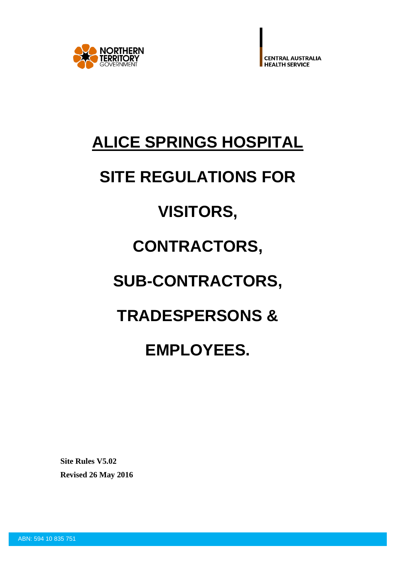

# **ALICE SPRINGS HOSPITAL**

# **SITE REGULATIONS FOR**

# **VISITORS,**

# **CONTRACTORS,**

# **SUB-CONTRACTORS,**

# **TRADESPERSONS &**

# **EMPLOYEES.**

**Site Rules V5.02 Revised 26 May 2016**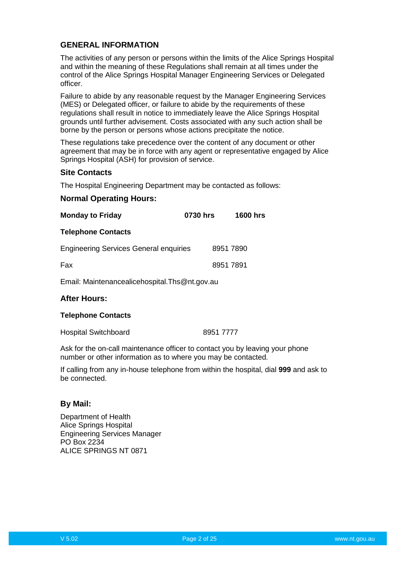# **GENERAL INFORMATION**

The activities of any person or persons within the limits of the Alice Springs Hospital and within the meaning of these Regulations shall remain at all times under the control of the Alice Springs Hospital Manager Engineering Services or Delegated officer.

Failure to abide by any reasonable request by the Manager Engineering Services (MES) or Delegated officer, or failure to abide by the requirements of these regulations shall result in notice to immediately leave the Alice Springs Hospital grounds until further advisement. Costs associated with any such action shall be borne by the person or persons whose actions precipitate the notice.

These regulations take precedence over the content of any document or other agreement that may be in force with any agent or representative engaged by Alice Springs Hospital (ASH) for provision of service.

# **Site Contacts**

The Hospital Engineering Department may be contacted as follows:

#### **Normal Operating Hours:**

| <b>Monday to Friday</b>                         | 0730 hrs | <b>1600 hrs</b> |
|-------------------------------------------------|----------|-----------------|
| <b>Telephone Contacts</b>                       |          |                 |
| <b>Engineering Services General enquiries</b>   |          | 8951 7890       |
| Fax                                             |          | 89517891        |
| Email: Maintenancealicehospital. Ths @nt.gov.au |          |                 |

#### **After Hours:**

#### **Telephone Contacts**

Hospital Switchboard 8951 7777

Ask for the on-call maintenance officer to contact you by leaving your phone number or other information as to where you may be contacted.

If calling from any in-house telephone from within the hospital, dial **999** and ask to be connected.

#### **By Mail:**

Department of Health Alice Springs Hospital Engineering Services Manager PO Box 2234 ALICE SPRINGS NT 0871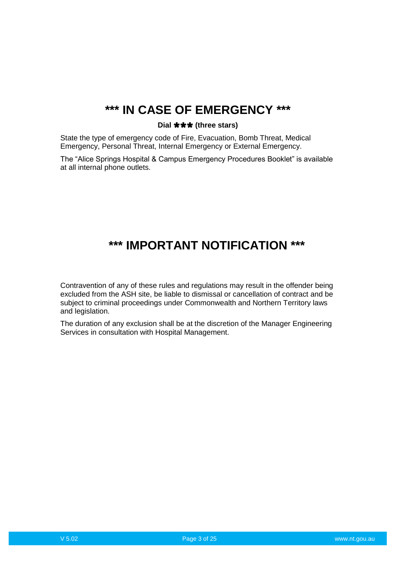# **\*\*\* IN CASE OF EMERGENCY \*\*\***

# Dial **\*\*\*** (three stars)

State the type of emergency code of Fire, Evacuation, Bomb Threat, Medical Emergency, Personal Threat, Internal Emergency or External Emergency.

The "Alice Springs Hospital & Campus Emergency Procedures Booklet" is available at all internal phone outlets.

# **\*\*\* IMPORTANT NOTIFICATION \*\*\***

Contravention of any of these rules and regulations may result in the offender being excluded from the ASH site, be liable to dismissal or cancellation of contract and be subject to criminal proceedings under Commonwealth and Northern Territory laws and legislation.

The duration of any exclusion shall be at the discretion of the Manager Engineering Services in consultation with Hospital Management.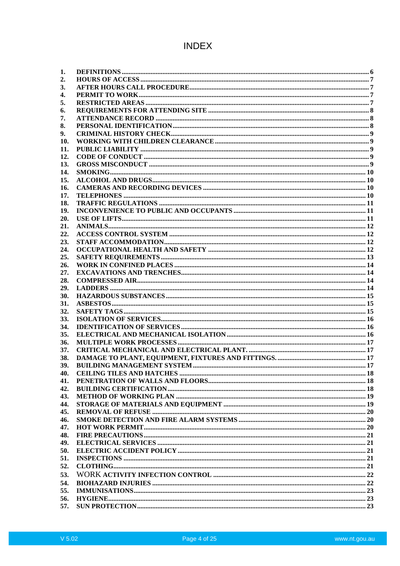# **INDEX**

| 1.  |  |
|-----|--|
| 2.  |  |
| 3.  |  |
| 4.  |  |
| 5.  |  |
| 6.  |  |
| 7.  |  |
| 8.  |  |
| 9.  |  |
| 10. |  |
| 11. |  |
| 12. |  |
| 13. |  |
| 14. |  |
| 15. |  |
| 16. |  |
| 17. |  |
| 18. |  |
| 19. |  |
| 20. |  |
|     |  |
| 21. |  |
| 22. |  |
| 23. |  |
| 24. |  |
| 25. |  |
| 26. |  |
| 27. |  |
| 28. |  |
| 29. |  |
| 30. |  |
| 31. |  |
| 32. |  |
| 33. |  |
| 34. |  |
| 35. |  |
| 36. |  |
| 37. |  |
| 38. |  |
| 39. |  |
| 40. |  |
| 41. |  |
| 42. |  |
| 43. |  |
| 44. |  |
| 45. |  |
| 46. |  |
| 47. |  |
| 48. |  |
| 49. |  |
| 50. |  |
| 51. |  |
| 52. |  |
| 53. |  |
|     |  |
| 54. |  |
| 55. |  |
| 56. |  |
| 57. |  |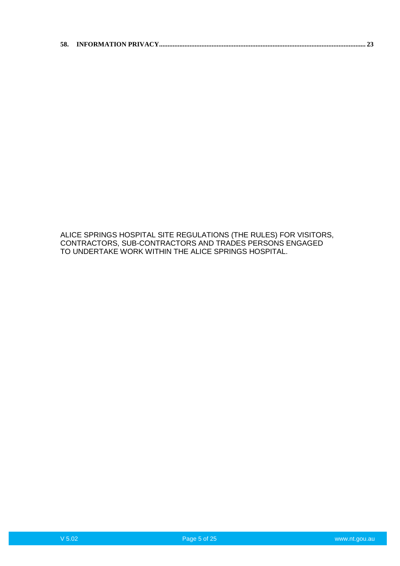|--|--|--|

ALICE SPRINGS HOSPITAL SITE REGULATIONS (THE RULES) FOR VISITORS, CONTRACTORS, SUB-CONTRACTORS AND TRADES PERSONS ENGAGED TO UNDERTAKE WORK WITHIN THE ALICE SPRINGS HOSPITAL.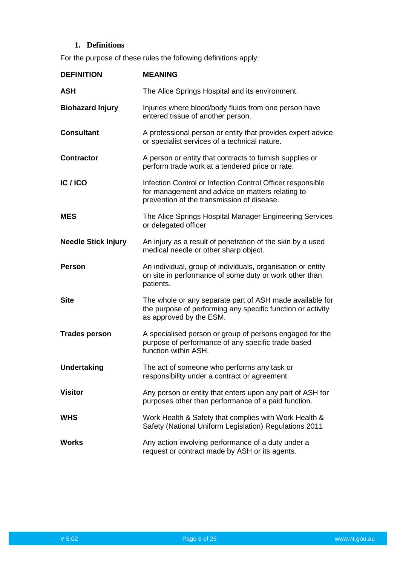# **1. Definitions**

<span id="page-5-0"></span>For the purpose of these rules the following definitions apply:

| <b>DEFINITION</b>          | <b>MEANING</b>                                                                                                                                               |
|----------------------------|--------------------------------------------------------------------------------------------------------------------------------------------------------------|
| <b>ASH</b>                 | The Alice Springs Hospital and its environment.                                                                                                              |
| <b>Biohazard Injury</b>    | Injuries where blood/body fluids from one person have<br>entered tissue of another person.                                                                   |
| <b>Consultant</b>          | A professional person or entity that provides expert advice<br>or specialist services of a technical nature.                                                 |
| <b>Contractor</b>          | A person or entity that contracts to furnish supplies or<br>perform trade work at a tendered price or rate.                                                  |
| IC/ICO                     | Infection Control or Infection Control Officer responsible<br>for management and advice on matters relating to<br>prevention of the transmission of disease. |
| <b>MES</b>                 | The Alice Springs Hospital Manager Engineering Services<br>or delegated officer                                                                              |
| <b>Needle Stick Injury</b> | An injury as a result of penetration of the skin by a used<br>medical needle or other sharp object.                                                          |
| <b>Person</b>              | An individual, group of individuals, organisation or entity<br>on site in performance of some duty or work other than<br>patients.                           |
| <b>Site</b>                | The whole or any separate part of ASH made available for<br>the purpose of performing any specific function or activity<br>as approved by the ESM.           |
| <b>Trades person</b>       | A specialised person or group of persons engaged for the<br>purpose of performance of any specific trade based<br>function within ASH.                       |
| <b>Undertaking</b>         | The act of someone who performs any task or<br>responsibility under a contract or agreement.                                                                 |
| <b>Visitor</b>             | Any person or entity that enters upon any part of ASH for<br>purposes other than performance of a paid function.                                             |
| <b>WHS</b>                 | Work Health & Safety that complies with Work Health &<br>Safety (National Uniform Legislation) Regulations 2011                                              |
| <b>Works</b>               | Any action involving performance of a duty under a<br>request or contract made by ASH or its agents.                                                         |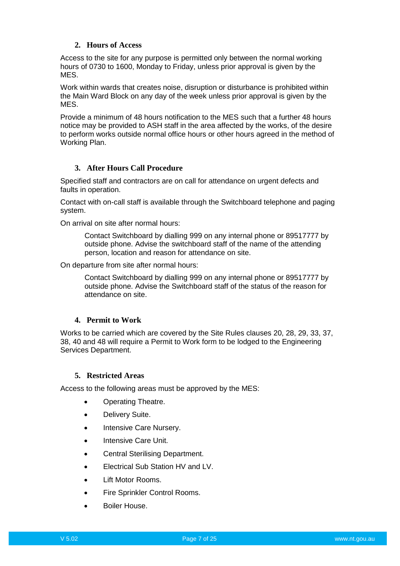# **2. Hours of Access**

<span id="page-6-0"></span>Access to the site for any purpose is permitted only between the normal working hours of 0730 to 1600, Monday to Friday, unless prior approval is given by the MES.

Work within wards that creates noise, disruption or disturbance is prohibited within the Main Ward Block on any day of the week unless prior approval is given by the MES.

Provide a minimum of 48 hours notification to the MES such that a further 48 hours notice may be provided to ASH staff in the area affected by the works, of the desire to perform works outside normal office hours or other hours agreed in the method of Working Plan.

# <span id="page-6-1"></span>**3. After Hours Call Procedure**

Specified staff and contractors are on call for attendance on urgent defects and faults in operation.

Contact with on-call staff is available through the Switchboard telephone and paging system.

On arrival on site after normal hours:

Contact Switchboard by dialling 999 on any internal phone or 89517777 by outside phone. Advise the switchboard staff of the name of the attending person, location and reason for attendance on site.

On departure from site after normal hours:

Contact Switchboard by dialling 999 on any internal phone or 89517777 by outside phone. Advise the Switchboard staff of the status of the reason for attendance on site.

# **4. Permit to Work**

<span id="page-6-2"></span>Works to be carried which are covered by the Site Rules clauses 20, 28, 29, 33, 37, 38, 40 and 48 will require a Permit to Work form to be lodged to the Engineering Services Department.

# **5. Restricted Areas**

<span id="page-6-3"></span>Access to the following areas must be approved by the MES:

- Operating Theatre.
- Delivery Suite.
- Intensive Care Nursery.
- Intensive Care Unit.
- Central Sterilising Department.
- Electrical Sub Station HV and LV.
- Lift Motor Rooms.
- Fire Sprinkler Control Rooms.
- Boiler House.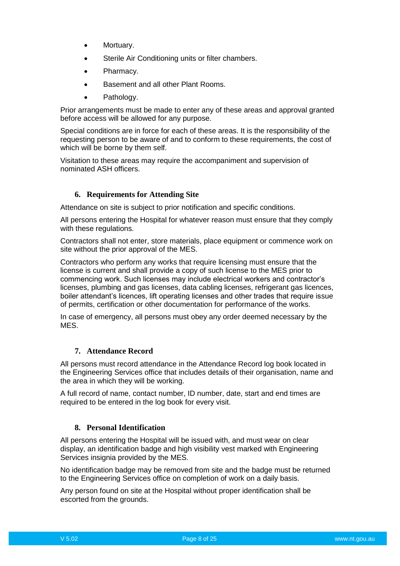- Mortuary.
- Sterile Air Conditioning units or filter chambers.
- Pharmacy.
- Basement and all other Plant Rooms.
- Pathology.

Prior arrangements must be made to enter any of these areas and approval granted before access will be allowed for any purpose.

Special conditions are in force for each of these areas. It is the responsibility of the requesting person to be aware of and to conform to these requirements, the cost of which will be borne by them self.

Visitation to these areas may require the accompaniment and supervision of nominated ASH officers.

# **6. Requirements for Attending Site**

<span id="page-7-0"></span>Attendance on site is subject to prior notification and specific conditions.

All persons entering the Hospital for whatever reason must ensure that they comply with these regulations.

Contractors shall not enter, store materials, place equipment or commence work on site without the prior approval of the MES.

Contractors who perform any works that require licensing must ensure that the license is current and shall provide a copy of such license to the MES prior to commencing work. Such licenses may include electrical workers and contractor's licenses, plumbing and gas licenses, data cabling licenses, refrigerant gas licences, boiler attendant's licences, lift operating licenses and other trades that require issue of permits, certification or other documentation for performance of the works.

In case of emergency, all persons must obey any order deemed necessary by the MES.

# **7. Attendance Record**

<span id="page-7-1"></span>All persons must record attendance in the Attendance Record log book located in the Engineering Services office that includes details of their organisation, name and the area in which they will be working.

A full record of name, contact number, ID number, date, start and end times are required to be entered in the log book for every visit.

# **8. Personal Identification**

<span id="page-7-2"></span>All persons entering the Hospital will be issued with, and must wear on clear display, an identification badge and high visibility vest marked with Engineering Services insignia provided by the MES.

No identification badge may be removed from site and the badge must be returned to the Engineering Services office on completion of work on a daily basis.

Any person found on site at the Hospital without proper identification shall be escorted from the grounds.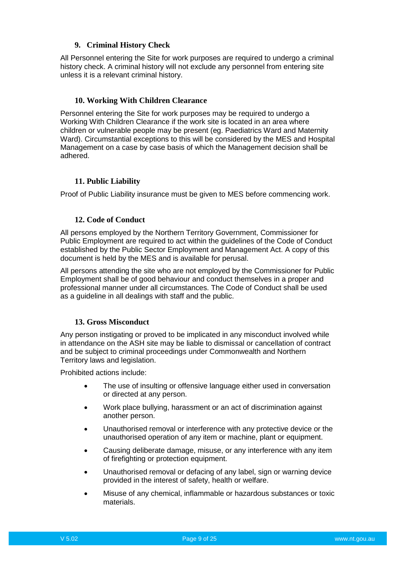# **9. Criminal History Check**

<span id="page-8-0"></span>All Personnel entering the Site for work purposes are required to undergo a criminal history check. A criminal history will not exclude any personnel from entering site unless it is a relevant criminal history.

# **10. Working With Children Clearance**

<span id="page-8-1"></span>Personnel entering the Site for work purposes may be required to undergo a Working With Children Clearance if the work site is located in an area where children or vulnerable people may be present (eg. Paediatrics Ward and Maternity Ward). Circumstantial exceptions to this will be considered by the MES and Hospital Management on a case by case basis of which the Management decision shall be adhered.

# **11. Public Liability**

<span id="page-8-2"></span>Proof of Public Liability insurance must be given to MES before commencing work.

#### **12. Code of Conduct**

<span id="page-8-3"></span>All persons employed by the Northern Territory Government, Commissioner for Public Employment are required to act within the guidelines of the Code of Conduct established by the Public Sector Employment and Management Act. A copy of this document is held by the MES and is available for perusal.

All persons attending the site who are not employed by the Commissioner for Public Employment shall be of good behaviour and conduct themselves in a proper and professional manner under all circumstances. The Code of Conduct shall be used as a guideline in all dealings with staff and the public.

### **13. Gross Misconduct**

<span id="page-8-4"></span>Any person instigating or proved to be implicated in any misconduct involved while in attendance on the ASH site may be liable to dismissal or cancellation of contract and be subject to criminal proceedings under Commonwealth and Northern Territory laws and legislation.

Prohibited actions include:

- The use of insulting or offensive language either used in conversation or directed at any person.
- Work place bullying, harassment or an act of discrimination against another person.
- Unauthorised removal or interference with any protective device or the unauthorised operation of any item or machine, plant or equipment.
- Causing deliberate damage, misuse, or any interference with any item of firefighting or protection equipment.
- Unauthorised removal or defacing of any label, sign or warning device provided in the interest of safety, health or welfare.
- Misuse of any chemical, inflammable or hazardous substances or toxic materials.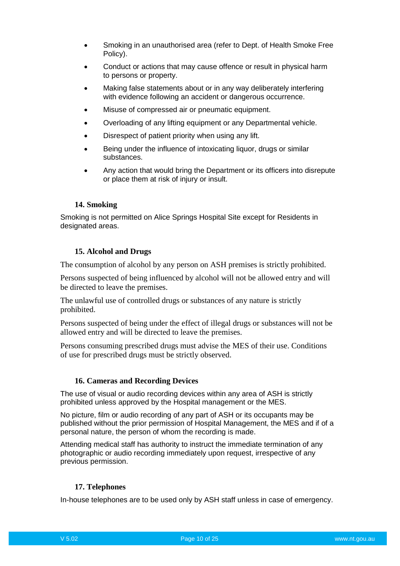- Smoking in an unauthorised area (refer to Dept. of Health Smoke Free Policy).
- Conduct or actions that may cause offence or result in physical harm to persons or property.
- Making false statements about or in any way deliberately interfering with evidence following an accident or dangerous occurrence.
- Misuse of compressed air or pneumatic equipment.
- Overloading of any lifting equipment or any Departmental vehicle.
- Disrespect of patient priority when using any lift.
- Being under the influence of intoxicating liquor, drugs or similar substances.
- Any action that would bring the Department or its officers into disrepute or place them at risk of injury or insult.

# **14. Smoking**

<span id="page-9-0"></span>Smoking is not permitted on Alice Springs Hospital Site except for Residents in designated areas.

# **15. Alcohol and Drugs**

<span id="page-9-1"></span>The consumption of alcohol by any person on ASH premises is strictly prohibited.

Persons suspected of being influenced by alcohol will not be allowed entry and will be directed to leave the premises.

The unlawful use of controlled drugs or substances of any nature is strictly prohibited.

Persons suspected of being under the effect of illegal drugs or substances will not be allowed entry and will be directed to leave the premises.

Persons consuming prescribed drugs must advise the MES of their use. Conditions of use for prescribed drugs must be strictly observed.

# **16. Cameras and Recording Devices**

<span id="page-9-2"></span>The use of visual or audio recording devices within any area of ASH is strictly prohibited unless approved by the Hospital management or the MES.

No picture, film or audio recording of any part of ASH or its occupants may be published without the prior permission of Hospital Management, the MES and if of a personal nature, the person of whom the recording is made.

Attending medical staff has authority to instruct the immediate termination of any photographic or audio recording immediately upon request, irrespective of any previous permission.

# **17. Telephones**

<span id="page-9-3"></span>In-house telephones are to be used only by ASH staff unless in case of emergency.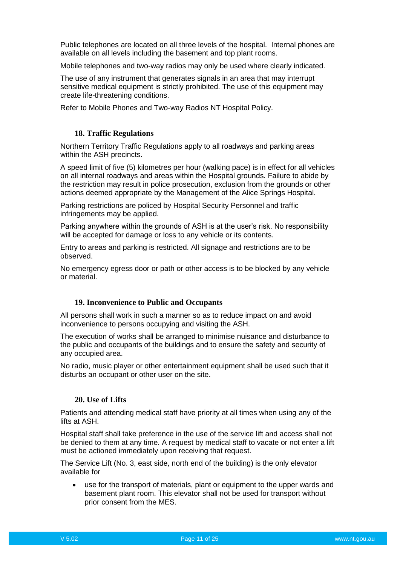Public telephones are located on all three levels of the hospital. Internal phones are available on all levels including the basement and top plant rooms.

Mobile telephones and two-way radios may only be used where clearly indicated.

The use of any instrument that generates signals in an area that may interrupt sensitive medical equipment is strictly prohibited. The use of this equipment may create life-threatening conditions.

Refer to Mobile Phones and Two-way Radios NT Hospital Policy.

### **18. Traffic Regulations**

<span id="page-10-0"></span>Northern Territory Traffic Regulations apply to all roadways and parking areas within the ASH precincts.

A speed limit of five (5) kilometres per hour (walking pace) is in effect for all vehicles on all internal roadways and areas within the Hospital grounds. Failure to abide by the restriction may result in police prosecution, exclusion from the grounds or other actions deemed appropriate by the Management of the Alice Springs Hospital.

Parking restrictions are policed by Hospital Security Personnel and traffic infringements may be applied.

Parking anywhere within the grounds of ASH is at the user's risk. No responsibility will be accepted for damage or loss to any vehicle or its contents.

Entry to areas and parking is restricted. All signage and restrictions are to be observed.

No emergency egress door or path or other access is to be blocked by any vehicle or material.

#### **19. Inconvenience to Public and Occupants**

<span id="page-10-1"></span>All persons shall work in such a manner so as to reduce impact on and avoid inconvenience to persons occupying and visiting the ASH.

The execution of works shall be arranged to minimise nuisance and disturbance to the public and occupants of the buildings and to ensure the safety and security of any occupied area.

No radio, music player or other entertainment equipment shall be used such that it disturbs an occupant or other user on the site.

#### **20. Use of Lifts**

<span id="page-10-2"></span>Patients and attending medical staff have priority at all times when using any of the lifts at ASH.

Hospital staff shall take preference in the use of the service lift and access shall not be denied to them at any time. A request by medical staff to vacate or not enter a lift must be actioned immediately upon receiving that request.

The Service Lift (No. 3, east side, north end of the building) is the only elevator available for

 use for the transport of materials, plant or equipment to the upper wards and basement plant room. This elevator shall not be used for transport without prior consent from the MES.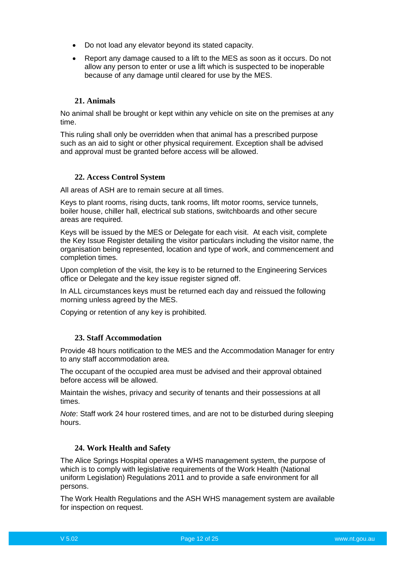- Do not load any elevator beyond its stated capacity.
- Report any damage caused to a lift to the MES as soon as it occurs. Do not allow any person to enter or use a lift which is suspected to be inoperable because of any damage until cleared for use by the MES.

#### **21. Animals**

<span id="page-11-0"></span>No animal shall be brought or kept within any vehicle on site on the premises at any time.

This ruling shall only be overridden when that animal has a prescribed purpose such as an aid to sight or other physical requirement. Exception shall be advised and approval must be granted before access will be allowed.

#### **22. Access Control System**

<span id="page-11-1"></span>All areas of ASH are to remain secure at all times.

Keys to plant rooms, rising ducts, tank rooms, lift motor rooms, service tunnels, boiler house, chiller hall, electrical sub stations, switchboards and other secure areas are required.

Keys will be issued by the MES or Delegate for each visit. At each visit, complete the Key Issue Register detailing the visitor particulars including the visitor name, the organisation being represented, location and type of work, and commencement and completion times.

Upon completion of the visit, the key is to be returned to the Engineering Services office or Delegate and the key issue register signed off.

In ALL circumstances keys must be returned each day and reissued the following morning unless agreed by the MES.

Copying or retention of any key is prohibited.

#### **23. Staff Accommodation**

<span id="page-11-2"></span>Provide 48 hours notification to the MES and the Accommodation Manager for entry to any staff accommodation area.

The occupant of the occupied area must be advised and their approval obtained before access will be allowed.

Maintain the wishes, privacy and security of tenants and their possessions at all times.

*Note*: Staff work 24 hour rostered times, and are not to be disturbed during sleeping hours.

#### **24. Work Health and Safety**

<span id="page-11-3"></span>The Alice Springs Hospital operates a WHS management system, the purpose of which is to comply with legislative requirements of the Work Health (National uniform Legislation) Regulations 2011 and to provide a safe environment for all persons.

The Work Health Regulations and the ASH WHS management system are available for inspection on request.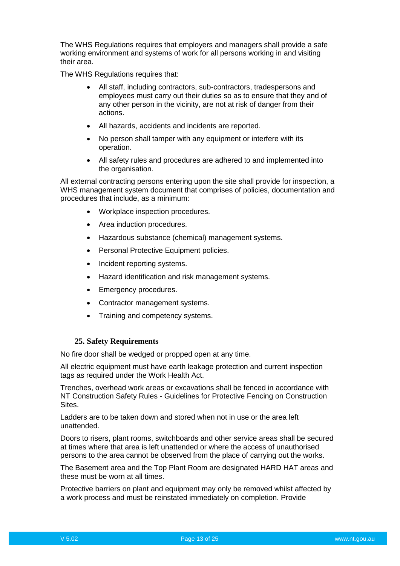The WHS Regulations requires that employers and managers shall provide a safe working environment and systems of work for all persons working in and visiting their area.

The WHS Regulations requires that:

- All staff, including contractors, sub-contractors, tradespersons and employees must carry out their duties so as to ensure that they and of any other person in the vicinity, are not at risk of danger from their actions.
- All hazards, accidents and incidents are reported.
- No person shall tamper with any equipment or interfere with its operation.
- All safety rules and procedures are adhered to and implemented into the organisation.

All external contracting persons entering upon the site shall provide for inspection, a WHS management system document that comprises of policies, documentation and procedures that include, as a minimum:

- Workplace inspection procedures.
- Area induction procedures.
- Hazardous substance (chemical) management systems.
- Personal Protective Equipment policies.
- Incident reporting systems.
- Hazard identification and risk management systems.
- **Emergency procedures.**
- Contractor management systems.
- Training and competency systems.

#### **25. Safety Requirements**

<span id="page-12-0"></span>No fire door shall be wedged or propped open at any time.

All electric equipment must have earth leakage protection and current inspection tags as required under the Work Health Act.

Trenches, overhead work areas or excavations shall be fenced in accordance with NT Construction Safety Rules - Guidelines for Protective Fencing on Construction Sites.

Ladders are to be taken down and stored when not in use or the area left unattended.

Doors to risers, plant rooms, switchboards and other service areas shall be secured at times where that area is left unattended or where the access of unauthorised persons to the area cannot be observed from the place of carrying out the works.

The Basement area and the Top Plant Room are designated HARD HAT areas and these must be worn at all times.

Protective barriers on plant and equipment may only be removed whilst affected by a work process and must be reinstated immediately on completion. Provide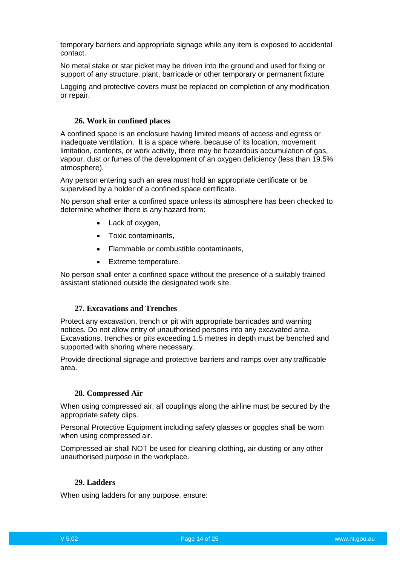temporary barriers and appropriate signage while any item is exposed to accidental contact.

No metal stake or star picket may be driven into the ground and used for fixing or support of any structure, plant, barricade or other temporary or permanent fixture.

Lagging and protective covers must be replaced on completion of any modification or repair.

#### **26. Work in confined places**

<span id="page-13-0"></span>A confined space is an enclosure having limited means of access and egress or inadequate ventilation. It is a space where, because of its location, movement limitation, contents, or work activity, there may be hazardous accumulation of gas, vapour, dust or fumes of the development of an oxygen deficiency (less than 19.5% atmosphere).

Any person entering such an area must hold an appropriate certificate or be supervised by a holder of a confined space certificate.

No person shall enter a confined space unless its atmosphere has been checked to determine whether there is any hazard from:

- Lack of oxygen,
- Toxic contaminants.
- Flammable or combustible contaminants,
- Extreme temperature.

No person shall enter a confined space without the presence of a suitably trained assistant stationed outside the designated work site.

### **27. Excavations and Trenches**

<span id="page-13-1"></span>Protect any excavation, trench or pit with appropriate barricades and warning notices. Do not allow entry of unauthorised persons into any excavated area. Excavations, trenches or pits exceeding 1.5 metres in depth must be benched and supported with shoring where necessary.

Provide directional signage and protective barriers and ramps over any trafficable area.

#### **28. Compressed Air**

<span id="page-13-2"></span>When using compressed air, all couplings along the airline must be secured by the appropriate safety clips.

Personal Protective Equipment including safety glasses or goggles shall be worn when using compressed air.

Compressed air shall NOT be used for cleaning clothing, air dusting or any other unauthorised purpose in the workplace.

### **29. Ladders**

<span id="page-13-3"></span>When using ladders for any purpose, ensure: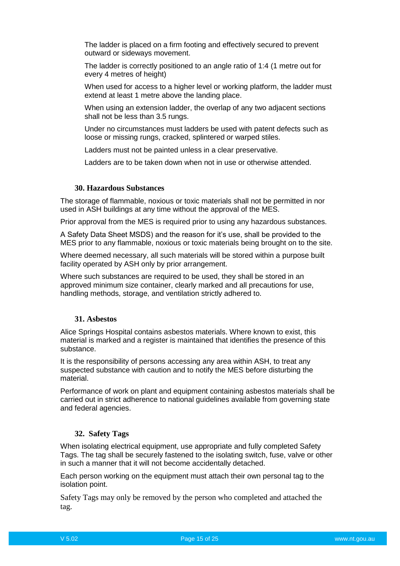The ladder is placed on a firm footing and effectively secured to prevent outward or sideways movement.

The ladder is correctly positioned to an angle ratio of 1:4 (1 metre out for every 4 metres of height)

When used for access to a higher level or working platform, the ladder must extend at least 1 metre above the landing place.

When using an extension ladder, the overlap of any two adjacent sections shall not be less than 3.5 rungs.

Under no circumstances must ladders be used with patent defects such as loose or missing rungs, cracked, splintered or warped stiles.

Ladders must not be painted unless in a clear preservative.

Ladders are to be taken down when not in use or otherwise attended.

# **30. Hazardous Substances**

<span id="page-14-0"></span>The storage of flammable, noxious or toxic materials shall not be permitted in nor used in ASH buildings at any time without the approval of the MES.

Prior approval from the MES is required prior to using any hazardous substances.

A Safety Data Sheet MSDS) and the reason for it's use, shall be provided to the MES prior to any flammable, noxious or toxic materials being brought on to the site.

Where deemed necessary, all such materials will be stored within a purpose built facility operated by ASH only by prior arrangement.

Where such substances are required to be used, they shall be stored in an approved minimum size container, clearly marked and all precautions for use, handling methods, storage, and ventilation strictly adhered to.

#### **31. Asbestos**

<span id="page-14-1"></span>Alice Springs Hospital contains asbestos materials. Where known to exist, this material is marked and a register is maintained that identifies the presence of this substance.

It is the responsibility of persons accessing any area within ASH, to treat any suspected substance with caution and to notify the MES before disturbing the material.

Performance of work on plant and equipment containing asbestos materials shall be carried out in strict adherence to national guidelines available from governing state and federal agencies.

#### <span id="page-14-2"></span>**32. Safety Tags**

When isolating electrical equipment, use appropriate and fully completed Safety Tags. The tag shall be securely fastened to the isolating switch, fuse, valve or other in such a manner that it will not become accidentally detached.

Each person working on the equipment must attach their own personal tag to the isolation point.

Safety Tags may only be removed by the person who completed and attached the tag.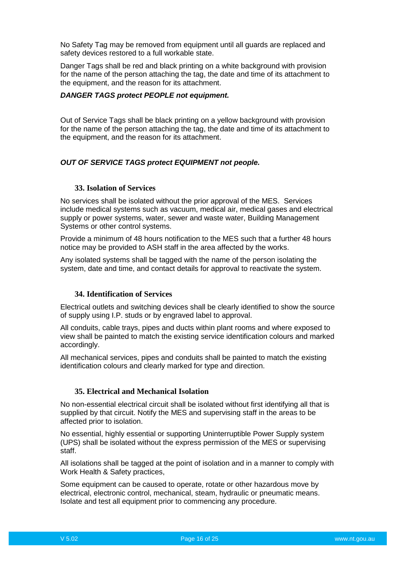No Safety Tag may be removed from equipment until all guards are replaced and safety devices restored to a full workable state.

Danger Tags shall be red and black printing on a white background with provision for the name of the person attaching the tag, the date and time of its attachment to the equipment, and the reason for its attachment.

#### *DANGER TAGS protect PEOPLE not equipment.*

Out of Service Tags shall be black printing on a yellow background with provision for the name of the person attaching the tag, the date and time of its attachment to the equipment, and the reason for its attachment.

# *OUT OF SERVICE TAGS protect EQUIPMENT not people.*

### **33. Isolation of Services**

<span id="page-15-0"></span>No services shall be isolated without the prior approval of the MES. Services include medical systems such as vacuum, medical air, medical gases and electrical supply or power systems, water, sewer and waste water, Building Management Systems or other control systems.

Provide a minimum of 48 hours notification to the MES such that a further 48 hours notice may be provided to ASH staff in the area affected by the works.

Any isolated systems shall be tagged with the name of the person isolating the system, date and time, and contact details for approval to reactivate the system.

### **34. Identification of Services**

<span id="page-15-1"></span>Electrical outlets and switching devices shall be clearly identified to show the source of supply using I.P. studs or by engraved label to approval.

All conduits, cable trays, pipes and ducts within plant rooms and where exposed to view shall be painted to match the existing service identification colours and marked accordingly.

All mechanical services, pipes and conduits shall be painted to match the existing identification colours and clearly marked for type and direction.

#### **35. Electrical and Mechanical Isolation**

<span id="page-15-2"></span>No non-essential electrical circuit shall be isolated without first identifying all that is supplied by that circuit. Notify the MES and supervising staff in the areas to be affected prior to isolation.

No essential, highly essential or supporting Uninterruptible Power Supply system (UPS) shall be isolated without the express permission of the MES or supervising staff.

All isolations shall be tagged at the point of isolation and in a manner to comply with Work Health & Safety practices,

Some equipment can be caused to operate, rotate or other hazardous move by electrical, electronic control, mechanical, steam, hydraulic or pneumatic means. Isolate and test all equipment prior to commencing any procedure.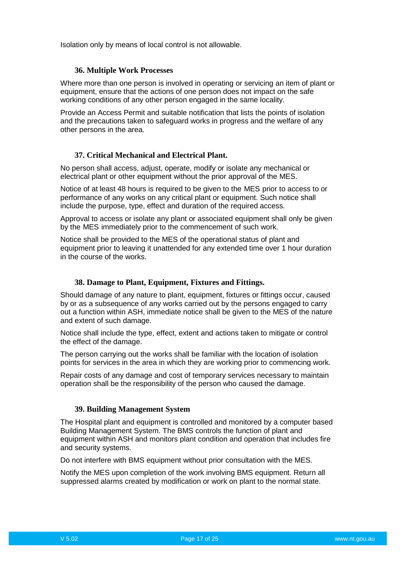Isolation only by means of local control is not allowable.

#### **36. Multiple Work Processes**

<span id="page-16-0"></span>Where more than one person is involved in operating or servicing an item of plant or equipment, ensure that the actions of one person does not impact on the safe working conditions of any other person engaged in the same locality.

Provide an Access Permit and suitable notification that lists the points of isolation and the precautions taken to safeguard works in progress and the welfare of any other persons in the area.

#### **37. Critical Mechanical and Electrical Plant.**

<span id="page-16-1"></span>No person shall access, adjust, operate, modify or isolate any mechanical or electrical plant or other equipment without the prior approval of the MES.

Notice of at least 48 hours is required to be given to the MES prior to access to or performance of any works on any critical plant or equipment. Such notice shall include the purpose, type, effect and duration of the required access.

Approval to access or isolate any plant or associated equipment shall only be given by the MES immediately prior to the commencement of such work.

Notice shall be provided to the MES of the operational status of plant and equipment prior to leaving it unattended for any extended time over 1 hour duration in the course of the works.

#### **38. Damage to Plant, Equipment, Fixtures and Fittings.**

<span id="page-16-2"></span>Should damage of any nature to plant, equipment, fixtures or fittings occur, caused by or as a subsequence of any works carried out by the persons engaged to carry out a function within ASH, immediate notice shall be given to the MES of the nature and extent of such damage.

Notice shall include the type, effect, extent and actions taken to mitigate or control the effect of the damage.

The person carrying out the works shall be familiar with the location of isolation points for services in the area in which they are working prior to commencing work.

Repair costs of any damage and cost of temporary services necessary to maintain operation shall be the responsibility of the person who caused the damage.

#### **39. Building Management System**

<span id="page-16-3"></span>The Hospital plant and equipment is controlled and monitored by a computer based Building Management System. The BMS controls the function of plant and equipment within ASH and monitors plant condition and operation that includes fire and security systems.

Do not interfere with BMS equipment without prior consultation with the MES.

Notify the MES upon completion of the work involving BMS equipment. Return all suppressed alarms created by modification or work on plant to the normal state.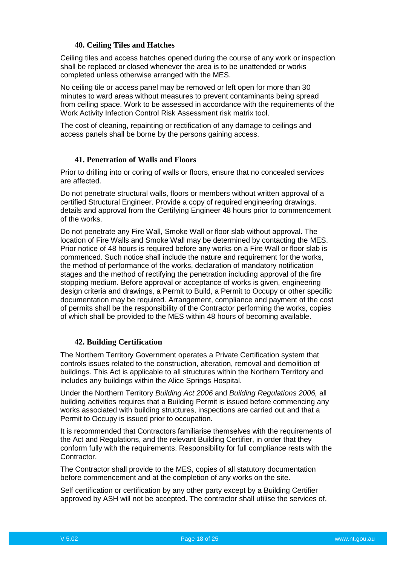### **40. Ceiling Tiles and Hatches**

<span id="page-17-0"></span>Ceiling tiles and access hatches opened during the course of any work or inspection shall be replaced or closed whenever the area is to be unattended or works completed unless otherwise arranged with the MES.

No ceiling tile or access panel may be removed or left open for more than 30 minutes to ward areas without measures to prevent contaminants being spread from ceiling space. Work to be assessed in accordance with the requirements of the Work Activity Infection Control Risk Assessment risk matrix tool.

The cost of cleaning, repainting or rectification of any damage to ceilings and access panels shall be borne by the persons gaining access.

# **41. Penetration of Walls and Floors**

<span id="page-17-1"></span>Prior to drilling into or coring of walls or floors, ensure that no concealed services are affected.

Do not penetrate structural walls, floors or members without written approval of a certified Structural Engineer. Provide a copy of required engineering drawings, details and approval from the Certifying Engineer 48 hours prior to commencement of the works.

Do not penetrate any Fire Wall, Smoke Wall or floor slab without approval. The location of Fire Walls and Smoke Wall may be determined by contacting the MES. Prior notice of 48 hours is required before any works on a Fire Wall or floor slab is commenced. Such notice shall include the nature and requirement for the works, the method of performance of the works, declaration of mandatory notification stages and the method of rectifying the penetration including approval of the fire stopping medium. Before approval or acceptance of works is given, engineering design criteria and drawings, a Permit to Build, a Permit to Occupy or other specific documentation may be required. Arrangement, compliance and payment of the cost of permits shall be the responsibility of the Contractor performing the works, copies of which shall be provided to the MES within 48 hours of becoming available.

### **42. Building Certification**

<span id="page-17-2"></span>The Northern Territory Government operates a Private Certification system that controls issues related to the construction, alteration, removal and demolition of buildings. This Act is applicable to all structures within the Northern Territory and includes any buildings within the Alice Springs Hospital.

Under the Northern Territory *Building Act 2006* and *Building Regulations 2006,* all building activities requires that a Building Permit is issued before commencing any works associated with building structures, inspections are carried out and that a Permit to Occupy is issued prior to occupation.

It is recommended that Contractors familiarise themselves with the requirements of the Act and Regulations, and the relevant Building Certifier, in order that they conform fully with the requirements. Responsibility for full compliance rests with the Contractor.

The Contractor shall provide to the MES, copies of all statutory documentation before commencement and at the completion of any works on the site.

Self certification or certification by any other party except by a Building Certifier approved by ASH will not be accepted. The contractor shall utilise the services of,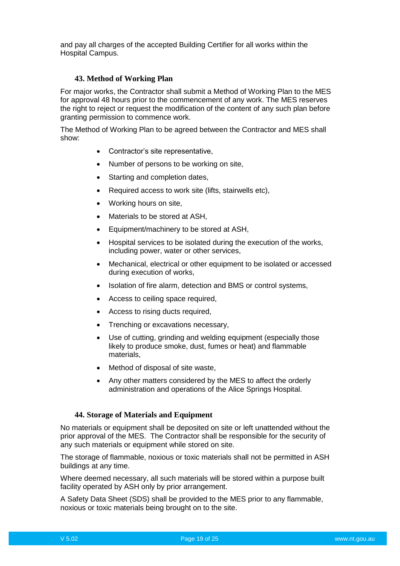and pay all charges of the accepted Building Certifier for all works within the Hospital Campus.

# **43. Method of Working Plan**

<span id="page-18-0"></span>For major works, the Contractor shall submit a Method of Working Plan to the MES for approval 48 hours prior to the commencement of any work. The MES reserves the right to reject or request the modification of the content of any such plan before granting permission to commence work.

The Method of Working Plan to be agreed between the Contractor and MES shall show:

- Contractor's site representative,
- Number of persons to be working on site,
- Starting and completion dates,
- Required access to work site (lifts, stairwells etc),
- Working hours on site,
- Materials to be stored at ASH.
- Equipment/machinery to be stored at ASH,
- Hospital services to be isolated during the execution of the works, including power, water or other services,
- Mechanical, electrical or other equipment to be isolated or accessed during execution of works,
- Isolation of fire alarm, detection and BMS or control systems,
- Access to ceiling space required.
- Access to rising ducts required,
- Trenching or excavations necessary,
- Use of cutting, grinding and welding equipment (especially those likely to produce smoke, dust, fumes or heat) and flammable materials,
- Method of disposal of site waste,
- Any other matters considered by the MES to affect the orderly administration and operations of the Alice Springs Hospital.

#### **44. Storage of Materials and Equipment**

<span id="page-18-1"></span>No materials or equipment shall be deposited on site or left unattended without the prior approval of the MES. The Contractor shall be responsible for the security of any such materials or equipment while stored on site.

The storage of flammable, noxious or toxic materials shall not be permitted in ASH buildings at any time.

Where deemed necessary, all such materials will be stored within a purpose built facility operated by ASH only by prior arrangement.

A Safety Data Sheet (SDS) shall be provided to the MES prior to any flammable, noxious or toxic materials being brought on to the site.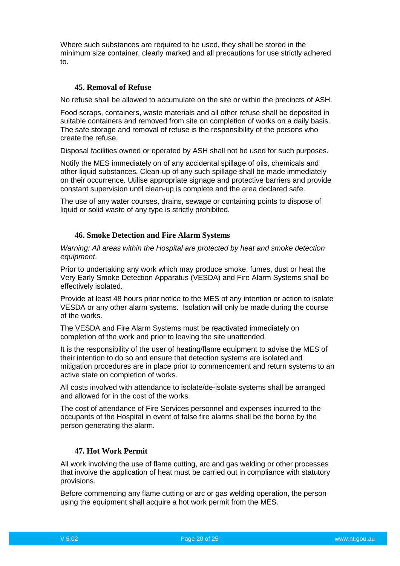Where such substances are required to be used, they shall be stored in the minimum size container, clearly marked and all precautions for use strictly adhered to.

# **45. Removal of Refuse**

<span id="page-19-0"></span>No refuse shall be allowed to accumulate on the site or within the precincts of ASH.

Food scraps, containers, waste materials and all other refuse shall be deposited in suitable containers and removed from site on completion of works on a daily basis. The safe storage and removal of refuse is the responsibility of the persons who create the refuse.

Disposal facilities owned or operated by ASH shall not be used for such purposes.

Notify the MES immediately on of any accidental spillage of oils, chemicals and other liquid substances. Clean-up of any such spillage shall be made immediately on their occurrence. Utilise appropriate signage and protective barriers and provide constant supervision until clean-up is complete and the area declared safe.

The use of any water courses, drains, sewage or containing points to dispose of liquid or solid waste of any type is strictly prohibited.

#### **46. Smoke Detection and Fire Alarm Systems**

<span id="page-19-1"></span>*Warning: All areas within the Hospital are protected by heat and smoke detection equipment*.

Prior to undertaking any work which may produce smoke, fumes, dust or heat the Very Early Smoke Detection Apparatus (VESDA) and Fire Alarm Systems shall be effectively isolated.

Provide at least 48 hours prior notice to the MES of any intention or action to isolate VESDA or any other alarm systems. Isolation will only be made during the course of the works.

The VESDA and Fire Alarm Systems must be reactivated immediately on completion of the work and prior to leaving the site unattended.

It is the responsibility of the user of heating/flame equipment to advise the MES of their intention to do so and ensure that detection systems are isolated and mitigation procedures are in place prior to commencement and return systems to an active state on completion of works.

All costs involved with attendance to isolate/de-isolate systems shall be arranged and allowed for in the cost of the works.

The cost of attendance of Fire Services personnel and expenses incurred to the occupants of the Hospital in event of false fire alarms shall be the borne by the person generating the alarm.

# **47. Hot Work Permit**

<span id="page-19-2"></span>All work involving the use of flame cutting, arc and gas welding or other processes that involve the application of heat must be carried out in compliance with statutory provisions.

Before commencing any flame cutting or arc or gas welding operation, the person using the equipment shall acquire a hot work permit from the MES.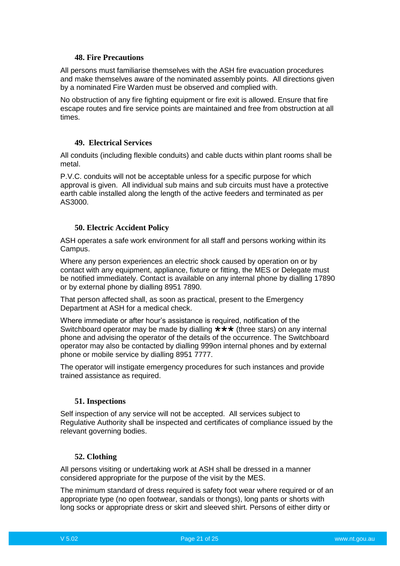#### **48. Fire Precautions**

<span id="page-20-0"></span>All persons must familiarise themselves with the ASH fire evacuation procedures and make themselves aware of the nominated assembly points. All directions given by a nominated Fire Warden must be observed and complied with.

No obstruction of any fire fighting equipment or fire exit is allowed. Ensure that fire escape routes and fire service points are maintained and free from obstruction at all times.

#### <span id="page-20-1"></span>**49. Electrical Services**

All conduits (including flexible conduits) and cable ducts within plant rooms shall be metal.

P.V.C. conduits will not be acceptable unless for a specific purpose for which approval is given. All individual sub mains and sub circuits must have a protective earth cable installed along the length of the active feeders and terminated as per AS3000.

#### **50. Electric Accident Policy**

<span id="page-20-2"></span>ASH operates a safe work environment for all staff and persons working within its Campus.

Where any person experiences an electric shock caused by operation on or by contact with any equipment, appliance, fixture or fitting, the MES or Delegate must be notified immediately. Contact is available on any internal phone by dialling 17890 or by external phone by dialling 8951 7890.

That person affected shall, as soon as practical, present to the Emergency Department at ASH for a medical check.

Where immediate or after hour's assistance is required, notification of the Switchboard operator may be made by dialling  $\star \star \star$  (three stars) on any internal phone and advising the operator of the details of the occurrence. The Switchboard operator may also be contacted by dialling 999on internal phones and by external phone or mobile service by dialling 8951 7777.

The operator will instigate emergency procedures for such instances and provide trained assistance as required.

#### **51. Inspections**

<span id="page-20-3"></span>Self inspection of any service will not be accepted. All services subject to Regulative Authority shall be inspected and certificates of compliance issued by the relevant governing bodies.

#### **52. Clothing**

<span id="page-20-4"></span>All persons visiting or undertaking work at ASH shall be dressed in a manner considered appropriate for the purpose of the visit by the MES.

The minimum standard of dress required is safety foot wear where required or of an appropriate type (no open footwear, sandals or thongs), long pants or shorts with long socks or appropriate dress or skirt and sleeved shirt. Persons of either dirty or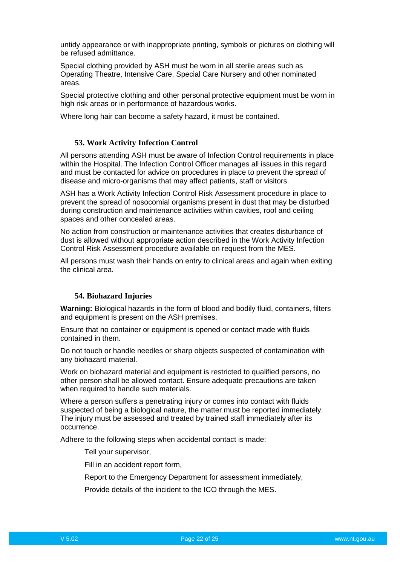untidy appearance or with inappropriate printing, symbols or pictures on clothing will be refused admittance.

Special clothing provided by ASH must be worn in all sterile areas such as Operating Theatre, Intensive Care, Special Care Nursery and other nominated areas.

Special protective clothing and other personal protective equipment must be worn in high risk areas or in performance of hazardous works.

Where long hair can become a safety hazard, it must be contained.

#### **53. Work Activity Infection Control**

<span id="page-21-0"></span>All persons attending ASH must be aware of Infection Control requirements in place within the Hospital. The Infection Control Officer manages all issues in this regard and must be contacted for advice on procedures in place to prevent the spread of disease and micro-organisms that may affect patients, staff or visitors.

ASH has a Work Activity Infection Control Risk Assessment procedure in place to prevent the spread of nosocomial organisms present in dust that may be disturbed during construction and maintenance activities within cavities, roof and ceiling spaces and other concealed areas.

No action from construction or maintenance activities that creates disturbance of dust is allowed without appropriate action described in the Work Activity Infection Control Risk Assessment procedure available on request from the MES.

All persons must wash their hands on entry to clinical areas and again when exiting the clinical area.

#### **54. Biohazard Injuries**

<span id="page-21-1"></span>**Warning:** Biological hazards in the form of blood and bodily fluid, containers, filters and equipment is present on the ASH premises.

Ensure that no container or equipment is opened or contact made with fluids contained in them.

Do not touch or handle needles or sharp objects suspected of contamination with any biohazard material.

Work on biohazard material and equipment is restricted to qualified persons, no other person shall be allowed contact. Ensure adequate precautions are taken when required to handle such materials.

Where a person suffers a penetrating injury or comes into contact with fluids suspected of being a biological nature, the matter must be reported immediately. The injury must be assessed and treated by trained staff immediately after its occurrence.

Adhere to the following steps when accidental contact is made:

Tell your supervisor,

Fill in an accident report form,

Report to the Emergency Department for assessment immediately,

Provide details of the incident to the ICO through the MES.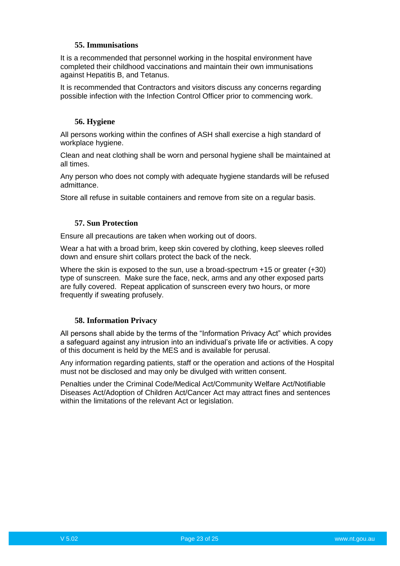# **55. Immunisations**

<span id="page-22-0"></span>It is a recommended that personnel working in the hospital environment have completed their childhood vaccinations and maintain their own immunisations against Hepatitis B, and Tetanus.

It is recommended that Contractors and visitors discuss any concerns regarding possible infection with the Infection Control Officer prior to commencing work.

#### **56. Hygiene**

<span id="page-22-1"></span>All persons working within the confines of ASH shall exercise a high standard of workplace hygiene.

Clean and neat clothing shall be worn and personal hygiene shall be maintained at all times.

Any person who does not comply with adequate hygiene standards will be refused admittance.

Store all refuse in suitable containers and remove from site on a regular basis.

#### **57. Sun Protection**

<span id="page-22-2"></span>Ensure all precautions are taken when working out of doors.

Wear a hat with a broad brim, keep skin covered by clothing, keep sleeves rolled down and ensure shirt collars protect the back of the neck.

Where the skin is exposed to the sun, use a broad-spectrum  $+15$  or greater  $(+30)$ type of sunscreen. Make sure the face, neck, arms and any other exposed parts are fully covered. Repeat application of sunscreen every two hours, or more frequently if sweating profusely.

#### **58. Information Privacy**

<span id="page-22-3"></span>All persons shall abide by the terms of the "Information Privacy Act" which provides a safeguard against any intrusion into an individual's private life or activities. A copy of this document is held by the MES and is available for perusal.

Any information regarding patients, staff or the operation and actions of the Hospital must not be disclosed and may only be divulged with written consent.

Penalties under the Criminal Code/Medical Act/Community Welfare Act/Notifiable Diseases Act/Adoption of Children Act/Cancer Act may attract fines and sentences within the limitations of the relevant Act or legislation.